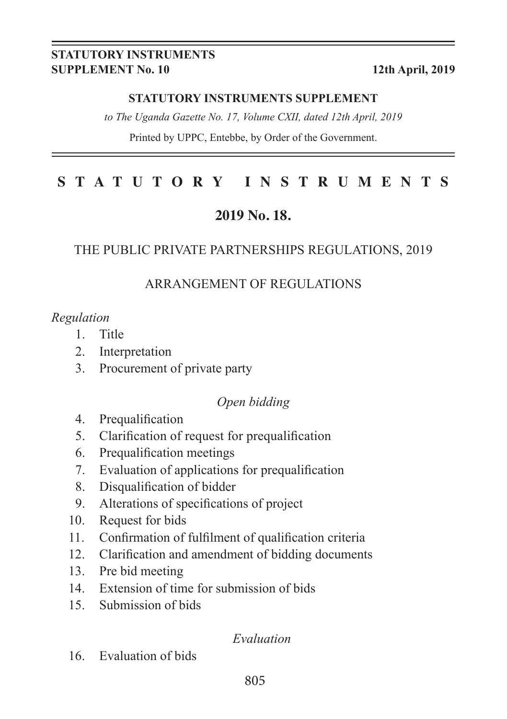#### **STATUTORY INSTRUMENTS SUPPLEMENT No. 10 12th April, 2019**

#### **STATUTORY INSTRUMENTS SUPPLEMENT**

*to The Uganda Gazette No. 17, Volume CXII, dated 12th April, 2019*

Printed by UPPC, Entebbe, by Order of the Government.

#### **STATUTORY INSTRUMENTS**

## **2019 No. 18.**

#### THE PUBLIC PRIVATE PARTNERSHIPS REGULATIONS, 2019

#### ARRANGEMENT OF REGULATIONS

#### *Regulation*

- 1. Title
- 2. Interpretation
- 3. Procurement of private party

#### *Open bidding*

- 4. Prequalification
- 5. Clarification of request for prequalification
- 6. Prequalification meetings
- 7. Evaluation of applications for prequalification
- 8. Disqualification of bidder
- 9. Alterations of specifications of project
- 10. Request for bids
- 11. Confirmation of fulfilment of qualification criteria
- 12. Clarification and amendment of bidding documents
- 13. Pre bid meeting
- 14. Extension of time for submission of bids
- 15. Submission of bids

#### *Evaluation*

16. Evaluation of bids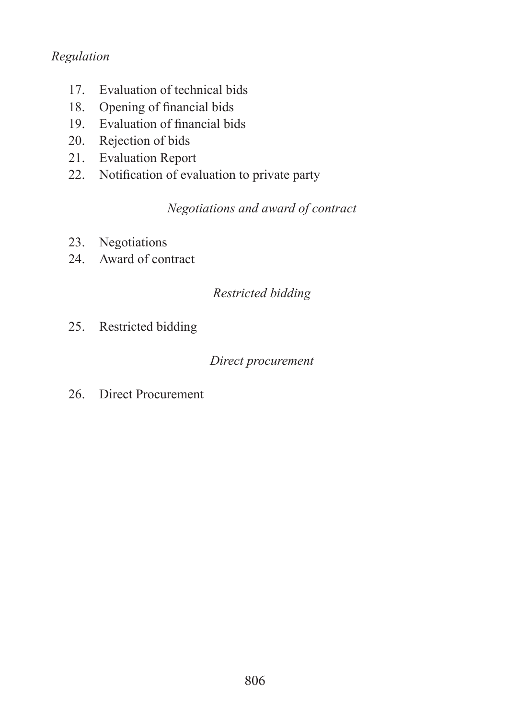#### *Regulation*

- 17. Evaluation of technical bids
- 18. Opening of financial bids
- 19. Evaluation of financial bids
- 20. Rejection of bids
- 21. Evaluation Report
- 22. Notification of evaluation to private party

*Negotiations and award of contract*

- 23. Negotiations
- 24. Award of contract

## *Restricted bidding*

25. Restricted bidding

#### *Direct procurement*

26. Direct Procurement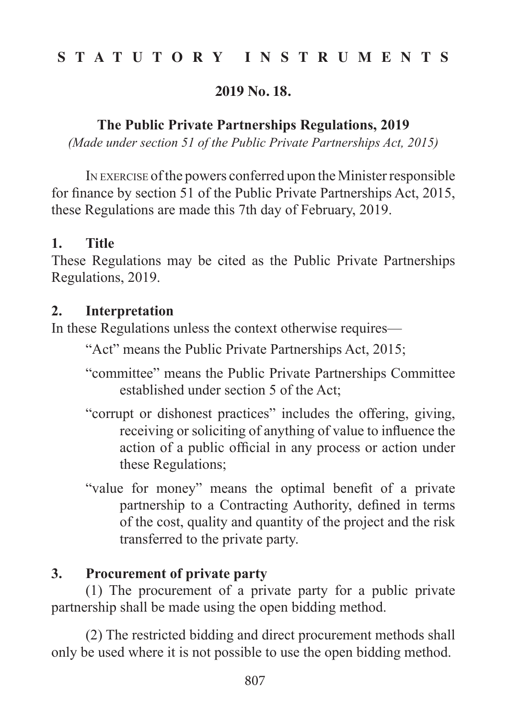## **STATUTORY INSTRUMENTS**

#### **2019 No. 18.**

#### **The Public Private Partnerships Regulations, 2019**

*(Made under section 51 of the Public Private Partnerships Act, 2015)*

IN EXERCISE of the powers conferred upon the Minister responsible for finance by section 51 of the Public Private Partnerships Act, 2015, these Regulations are made this 7th day of February, 2019.

#### **1. Title**

These Regulations may be cited as the Public Private Partnerships Regulations, 2019.

#### **2. Interpretation**

In these Regulations unless the context otherwise requires—

"Act" means the Public Private Partnerships Act, 2015;

"committee" means the Public Private Partnerships Committee established under section 5 of the Act;

- "corrupt or dishonest practices" includes the offering, giving, receiving or soliciting of anything of value to influence the action of a public official in any process or action under these Regulations;
- "value for money" means the optimal benefit of a private partnership to a Contracting Authority, defined in terms of the cost, quality and quantity of the project and the risk transferred to the private party.

## **3. Procurement of private party**

 (1) The procurement of a private party for a public private partnership shall be made using the open bidding method.

 (2) The restricted bidding and direct procurement methods shall only be used where it is not possible to use the open bidding method.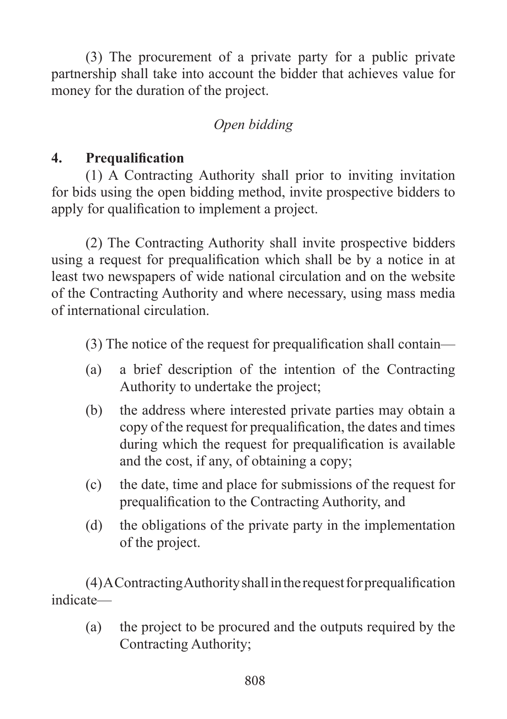(3) The procurement of a private party for a public private partnership shall take into account the bidder that achieves value for money for the duration of the project.

# *Open bidding*

# **4. Prequalification**

 (1) A Contracting Authority shall prior to inviting invitation for bids using the open bidding method, invite prospective bidders to apply for qualification to implement a project.

 (2) The Contracting Authority shall invite prospective bidders using a request for prequalification which shall be by a notice in at least two newspapers of wide national circulation and on the website of the Contracting Authority and where necessary, using mass media of international circulation.

 (3) The notice of the request for prequalification shall contain—

- (a) a brief description of the intention of the Contracting Authority to undertake the project;
- (b) the address where interested private parties may obtain a copy of the request for prequalification, the dates and times during which the request for prequalification is available and the cost, if any, of obtaining a copy;
- (c) the date, time and place for submissions of the request for prequalification to the Contracting Authority, and
- (d) the obligations of the private party in the implementation of the project.

 (4)AContractingAuthorityshallintherequestforprequalification indicate—

(a) the project to be procured and the outputs required by the Contracting Authority;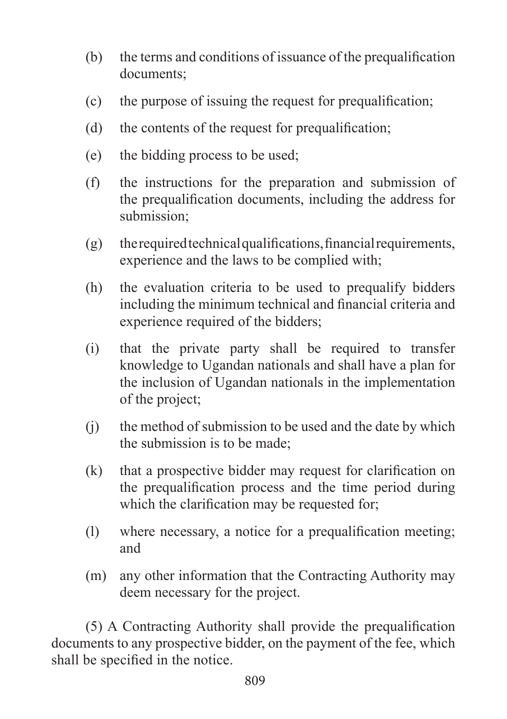- (b) the terms and conditions of issuance of the prequalification documents;
- (c) the purpose of issuing the request for prequalification;
- (d) the contents of the request for prequalification;
- (e) the bidding process to be used;
- (f) the instructions for the preparation and submission of the prequalification documents, including the address for submission;
- $(g)$  the required technical qualifications, financial requirements, experience and the laws to be complied with;
- (h) the evaluation criteria to be used to prequalify bidders including the minimum technical and financial criteria and experience required of the bidders;
- (i) that the private party shall be required to transfer knowledge to Ugandan nationals and shall have a plan for the inclusion of Ugandan nationals in the implementation of the project;
- $(i)$  the method of submission to be used and the date by which the submission is to be made;
- (k) that a prospective bidder may request for clarification on the prequalification process and the time period during which the clarification may be requested for;
- (1) where necessary, a notice for a prequalification meeting; and
- (m) any other information that the Contracting Authority may deem necessary for the project.

 (5) A Contracting Authority shall provide the prequalification documents to any prospective bidder, on the payment of the fee, which shall be specified in the notice.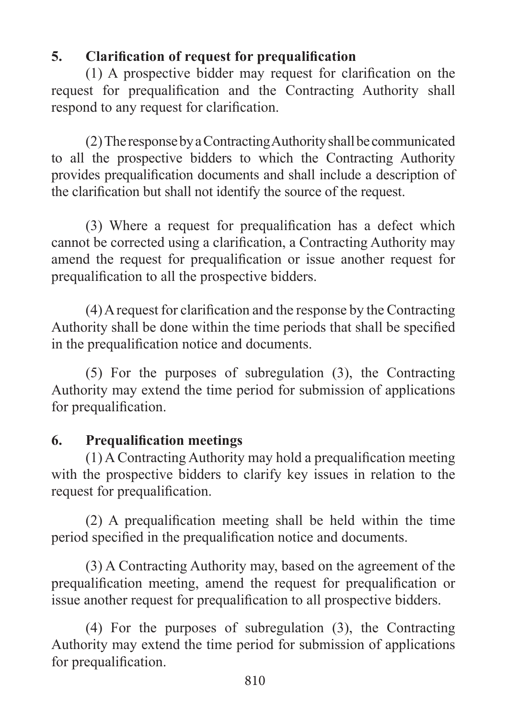# **5. Clarification of request for prequalification**

 (1) A prospective bidder may request for clarification on the request for prequalification and the Contracting Authority shall respond to any request for clarification.

 (2)The responsebyaContractingAuthorityshallbe communicated to all the prospective bidders to which the Contracting Authority provides prequalification documents and shall include a description of the clarification but shall not identify the source of the request.

 (3) Where a request for prequalification has a defect which cannot be corrected using a clarification, a Contracting Authority may amend the request for prequalification or issue another request for prequalification to all the prospective bidders.

 (4)Arequest for clarification and the response by the Contracting Authority shall be done within the time periods that shall be specified in the prequalification notice and documents.

 (5) For the purposes of subregulation (3), the Contracting Authority may extend the time period for submission of applications for prequalification.

# **6. Prequalification meetings**

 (1) A Contracting Authority may hold a prequalification meeting with the prospective bidders to clarify key issues in relation to the request for prequalification.

 (2) A prequalification meeting shall be held within the time period specified in the prequalification notice and documents.

 (3) A Contracting Authority may, based on the agreement of the prequalification meeting, amend the request for prequalification or issue another request for prequalification to all prospective bidders.

 (4) For the purposes of subregulation (3), the Contracting Authority may extend the time period for submission of applications for prequalification.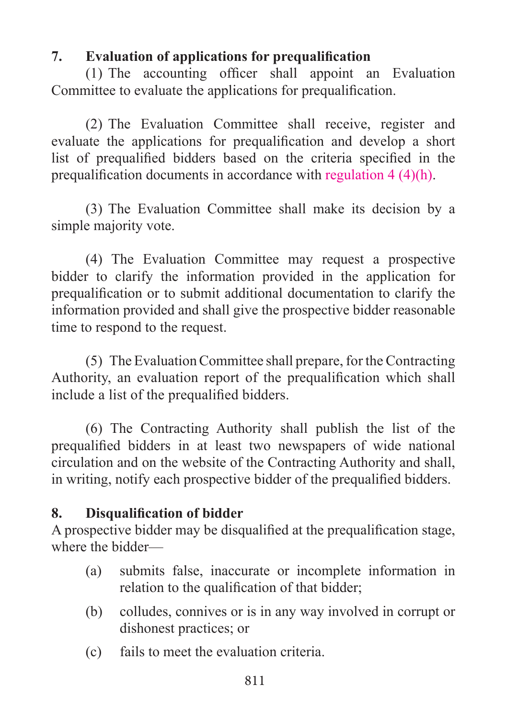# **7. Evaluation of applications for prequalification**

 $(1)$  The accounting officer shall appoint an Evaluation Committee to evaluate the applications for prequalification.

 (2) The Evaluation Committee shall receive, register and evaluate the applications for prequalification and develop a short list of prequalified bidders based on the criteria specified in the prequalification documents in accordance with regulation 4 (4)(h).

(3) The Evaluation Committee shall make its decision by a simple majority vote.

 (4) The Evaluation Committee may request a prospective bidder to clarify the information provided in the application for prequalification or to submit additional documentation to clarify the information provided and shall give the prospective bidder reasonable time to respond to the request.

 (5) The EvaluationCommittee shall prepare, for the Contracting Authority, an evaluation report of the prequalification which shall include a list of the prequalified bidders.

 (6) The Contracting Authority shall publish the list of the prequalified bidders in at least two newspapers of wide national circulation and on the website of the Contracting Authority and shall, in writing, notify each prospective bidder of the prequalified bidders.

# **8. Disqualification of bidder**

A prospective bidder may be disqualified at the prequalification stage, where the bidder—

- (a) submits false, inaccurate or incomplete information in relation to the qualification of that bidder;
- (b) colludes, connives or is in any way involved in corrupt or dishonest practices; or
- (c) fails to meet the evaluation criteria.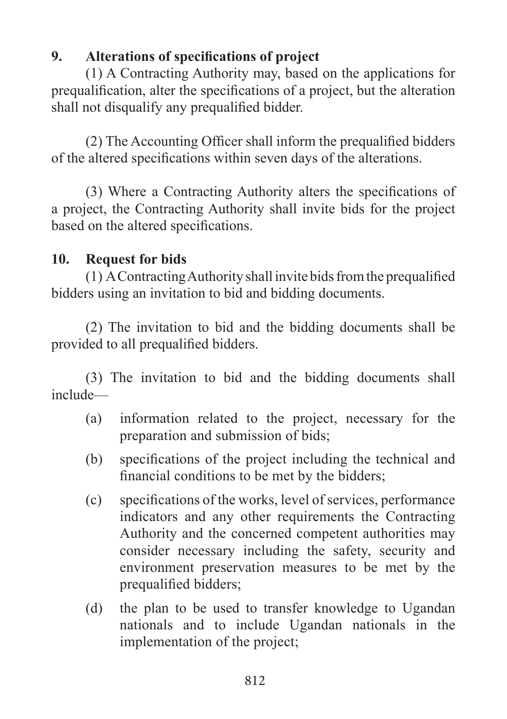# **9. Alterations of specifications of project**

 (1) A Contracting Authority may, based on the applications for prequalification, alter the specifications of a project, but the alteration shall not disqualify any prequalified bidder.

 (2) The Accounting Officer shall inform the prequalified bidders of the altered specifications within seven days of the alterations.

 (3) Where a Contracting Authority alters the specifications of a project, the Contracting Authority shall invite bids for the project based on the altered specifications.

# **10. Request for bids**

 $(1)$  A Contracting Authority shall invite bids from the prequalified bidders using an invitation to bid and bidding documents.

 (2) The invitation to bid and the bidding documents shall be provided to all prequalified bidders.

 (3) The invitation to bid and the bidding documents shall include—

- (a) information related to the project, necessary for the preparation and submission of bids;
- (b) specifications of the project including the technical and financial conditions to be met by the bidders;
- (c) specifications of the works, level of services, performance indicators and any other requirements the Contracting Authority and the concerned competent authorities may consider necessary including the safety, security and environment preservation measures to be met by the prequalified bidders;
- (d) the plan to be used to transfer knowledge to Ugandan nationals and to include Ugandan nationals in the implementation of the project;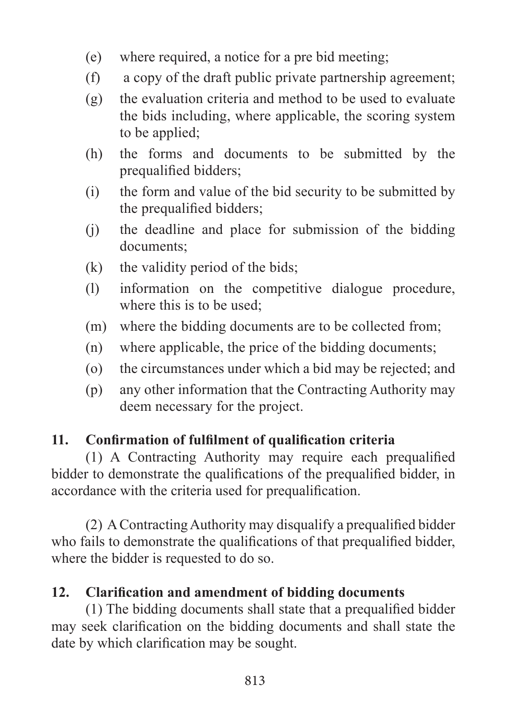- (e) where required, a notice for a pre bid meeting;
- $(f)$  a copy of the draft public private partnership agreement;
- $(g)$  the evaluation criteria and method to be used to evaluate the bids including, where applicable, the scoring system to be applied;
- (h) the forms and documents to be submitted by the prequalified bidders;
- (i) the form and value of the bid security to be submitted by the prequalified bidders;
- (j) the deadline and place for submission of the bidding documents;
- $(k)$  the validity period of the bids;
- (l) information on the competitive dialogue procedure, where this is to be used:
- (m) where the bidding documents are to be collected from;
- (n) where applicable, the price of the bidding documents;
- (o) the circumstances under which a bid may be rejected; and
- (p) any other information that the Contracting Authority may deem necessary for the project.

# **11. Confirmation of fulfilment of qualification criteria**

 (1) A Contracting Authority may require each prequalified bidder to demonstrate the qualifications of the prequalified bidder, in accordance with the criteria used for prequalification.

 (2) AContractingAuthority may disqualify a prequalified bidder who fails to demonstrate the qualifications of that prequalified bidder, where the bidder is requested to do so.

# **12. Clarification and amendment of bidding documents**

 (1) The bidding documents shall state that a prequalified bidder may seek clarification on the bidding documents and shall state the date by which clarification may be sought.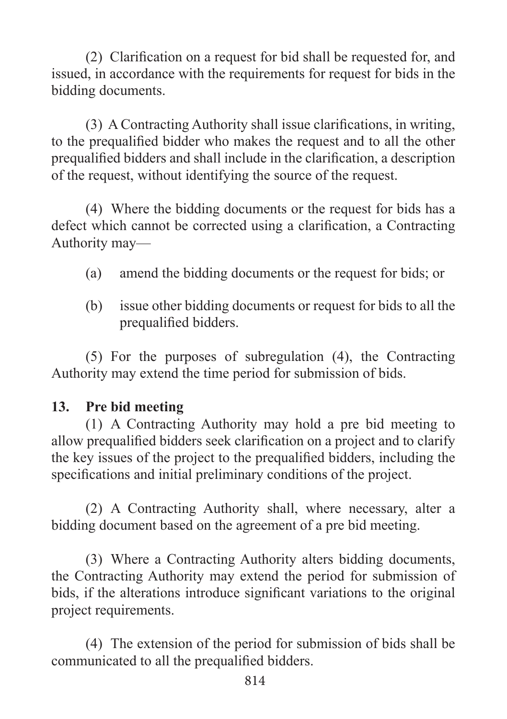(2) Clarification on a request for bid shall be requested for, and issued, in accordance with the requirements for request for bids in the bidding documents.

 (3) A Contracting Authority shall issue clarifications, in writing, to the prequalified bidder who makes the request and to all the other prequalified bidders and shall include in the clarification, a description of the request, without identifying the source of the request.

 (4) Where the bidding documents or the request for bids has a defect which cannot be corrected using a clarification, a Contracting Authority may—

- (a) amend the bidding documents or the request for bids; or
- (b) issue other bidding documents or request for bids to all the prequalified bidders.

 (5) For the purposes of subregulation (4), the Contracting Authority may extend the time period for submission of bids.

#### **13. Pre bid meeting**

 (1) A Contracting Authority may hold a pre bid meeting to allow prequalified bidders seek clarification on a project and to clarify the key issues of the project to the prequalified bidders, including the specifications and initial preliminary conditions of the project.

(2) A Contracting Authority shall, where necessary, alter a bidding document based on the agreement of a pre bid meeting.

(3) Where a Contracting Authority alters bidding documents, the Contracting Authority may extend the period for submission of bids, if the alterations introduce significant variations to the original project requirements.

 (4) The extension of the period for submission of bids shall be communicated to all the prequalified bidders.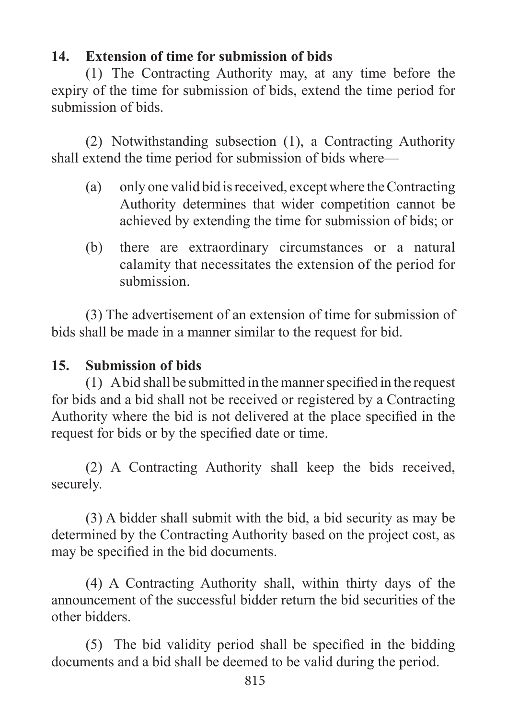# **14. Extension of time for submission of bids**

 (1) The Contracting Authority may, at any time before the expiry of the time for submission of bids, extend the time period for submission of bids.

 (2) Notwithstanding subsection (1), a Contracting Authority shall extend the time period for submission of bids where—

- (a) only one valid bid isreceived, except where theContracting Authority determines that wider competition cannot be achieved by extending the time for submission of bids; or
- (b) there are extraordinary circumstances or a natural calamity that necessitates the extension of the period for submission.

 (3) The advertisement of an extension of time for submission of bids shall be made in a manner similar to the request for bid.

# **15. Submission of bids**

 $(1)$  A bid shall be submitted in the manner specified in the request for bids and a bid shall not be received or registered by a Contracting Authority where the bid is not delivered at the place specified in the request for bids or by the specified date or time.

 (2) A Contracting Authority shall keep the bids received, securely.

 (3) A bidder shall submit with the bid, a bid security as may be determined by the Contracting Authority based on the project cost, as may be specified in the bid documents.

 (4) A Contracting Authority shall, within thirty days of the announcement of the successful bidder return the bid securities of the other bidders.

 (5) The bid validity period shall be specified in the bidding documents and a bid shall be deemed to be valid during the period.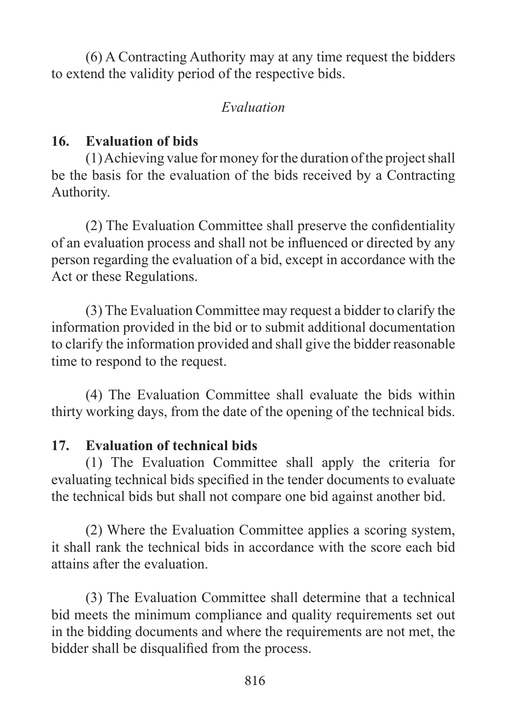(6) A Contracting Authority may at any time request the bidders to extend the validity period of the respective bids.

## *Evaluation*

# **16. Evaluation of bids**

 $(1)$ Achieving value for money for the duration of the project shall be the basis for the evaluation of the bids received by a Contracting Authority.

 (2) The Evaluation Committee shall preserve the confidentiality of an evaluation process and shall not be influenced or directed by any person regarding the evaluation of a bid, except in accordance with the Act or these Regulations.

 (3) The Evaluation Committee may request a bidder to clarify the information provided in the bid or to submit additional documentation to clarify the information provided and shall give the bidder reasonable time to respond to the request.

 (4) The Evaluation Committee shall evaluate the bids within thirty working days, from the date of the opening of the technical bids.

# **17. Evaluation of technical bids**

 (1) The Evaluation Committee shall apply the criteria for evaluating technical bids specified in the tender documents to evaluate the technical bids but shall not compare one bid against another bid.

 (2) Where the Evaluation Committee applies a scoring system, it shall rank the technical bids in accordance with the score each bid attains after the evaluation.

 (3) The Evaluation Committee shall determine that a technical bid meets the minimum compliance and quality requirements set out in the bidding documents and where the requirements are not met, the bidder shall be disqualified from the process.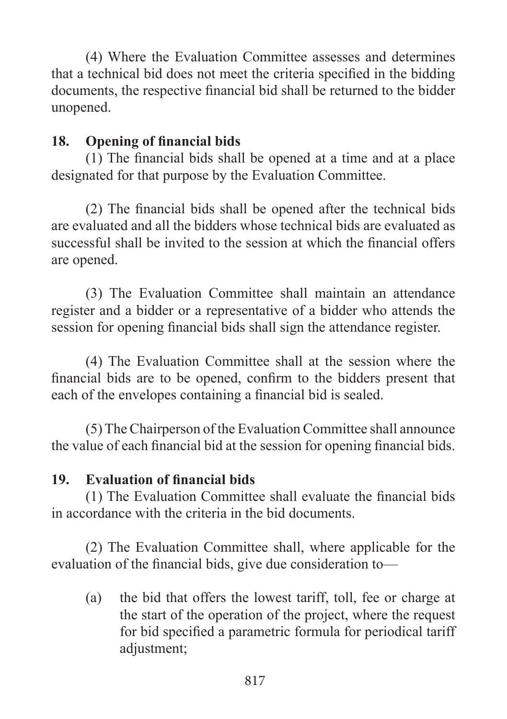(4) Where the Evaluation Committee assesses and determines that a technical bid does not meet the criteria specified in the bidding documents, the respective financial bid shall be returned to the bidder unopened.

# **18. Opening of financial bids**

 (1) The financial bids shall be opened at a time and at a place designated for that purpose by the Evaluation Committee.

 (2) The financial bids shall be opened after the technical bids are evaluated and all the bidders whose technical bids are evaluated as successful shall be invited to the session at which the financial offers are opened.

 (3) The Evaluation Committee shall maintain an attendance register and a bidder or a representative of a bidder who attends the session for opening financial bids shall sign the attendance register.

 (4) The Evaluation Committee shall at the session where the financial bids are to be opened, confirm to the bidders present that each of the envelopes containing a financial bid is sealed.

 (5) The Chairperson of the Evaluation Committee shall announce the value of each financial bid at the session for opening financial bids.

## **19. Evaluation of financial bids**

 (1) The Evaluation Committee shall evaluate the financial bids in accordance with the criteria in the bid documents.

 (2) The Evaluation Committee shall, where applicable for the evaluation of the financial bids, give due consideration to—

(a) the bid that offers the lowest tariff, toll, fee or charge at the start of the operation of the project, where the request for bid specified a parametric formula for periodical tariff adjustment;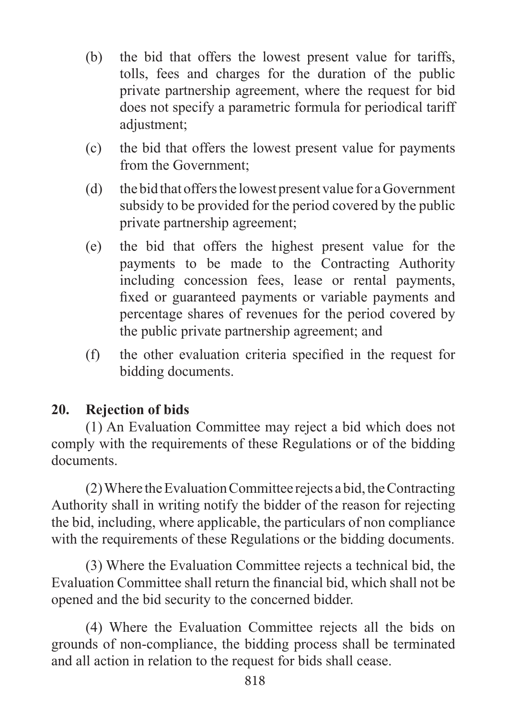- (b) the bid that offers the lowest present value for tariffs, tolls, fees and charges for the duration of the public private partnership agreement, where the request for bid does not specify a parametric formula for periodical tariff adjustment;
- (c) the bid that offers the lowest present value for payments from the Government;
- (d) the bid that offersthe lowest present value for aGovernment subsidy to be provided for the period covered by the public private partnership agreement;
- (e) the bid that offers the highest present value for the payments to be made to the Contracting Authority including concession fees, lease or rental payments, fixed or guaranteed payments or variable payments and percentage shares of revenues for the period covered by the public private partnership agreement; and
- (f) the other evaluation criteria specified in the request for bidding documents.

## **20. Rejection of bids**

 (1) An Evaluation Committee may reject a bid which does not comply with the requirements of these Regulations or of the bidding documents.

 $(2)$  Where the Evaluation Committee rejects a bid, the Contracting Authority shall in writing notify the bidder of the reason for rejecting the bid, including, where applicable, the particulars of non compliance with the requirements of these Regulations or the bidding documents.

 (3) Where the Evaluation Committee rejects a technical bid, the Evaluation Committee shall return the financial bid, which shall not be opened and the bid security to the concerned bidder.

 (4) Where the Evaluation Committee rejects all the bids on grounds of non-compliance, the bidding process shall be terminated and all action in relation to the request for bids shall cease.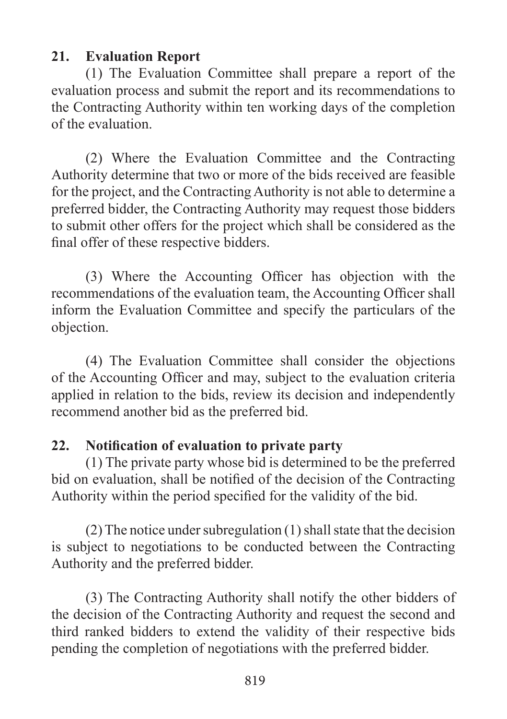## **21. Evaluation Report**

 (1) The Evaluation Committee shall prepare a report of the evaluation process and submit the report and its recommendations to the Contracting Authority within ten working days of the completion of the evaluation.

 (2) Where the Evaluation Committee and the Contracting Authority determine that two or more of the bids received are feasible for the project, and the Contracting Authority is not able to determine a preferred bidder, the Contracting Authority may request those bidders to submit other offers for the project which shall be considered as the final offer of these respective bidders.

 (3) Where the Accounting Officer has objection with the recommendations of the evaluation team, the Accounting Officer shall inform the Evaluation Committee and specify the particulars of the objection.

 (4) The Evaluation Committee shall consider the objections of the Accounting Officer and may, subject to the evaluation criteria applied in relation to the bids, review its decision and independently recommend another bid as the preferred bid.

## **22. Notification of evaluation to private party**

 (1) The private party whose bid is determined to be the preferred bid on evaluation, shall be notified of the decision of the Contracting Authority within the period specified for the validity of the bid.

(2) The notice under subregulation (1) shall state that the decision is subject to negotiations to be conducted between the Contracting Authority and the preferred bidder.

 (3) The Contracting Authority shall notify the other bidders of the decision of the Contracting Authority and request the second and third ranked bidders to extend the validity of their respective bids pending the completion of negotiations with the preferred bidder.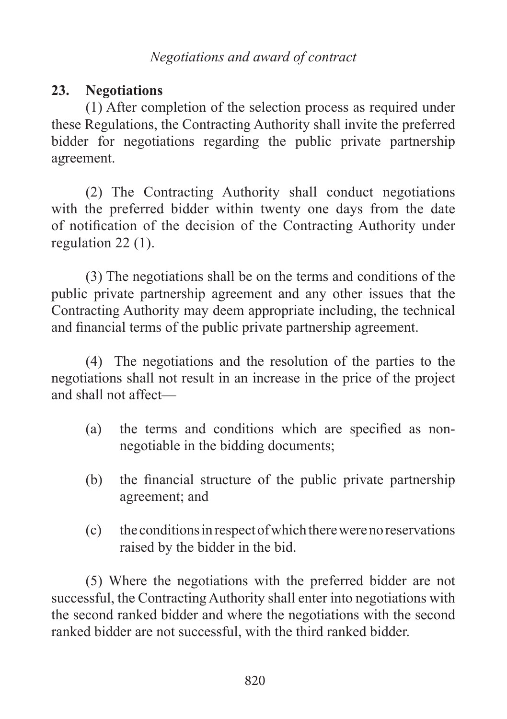## **23. Negotiations**

 (1) After completion of the selection process as required under these Regulations, the Contracting Authority shall invite the preferred bidder for negotiations regarding the public private partnership agreement.

 (2) The Contracting Authority shall conduct negotiations with the preferred bidder within twenty one days from the date of notification of the decision of the Contracting Authority under regulation 22 (1).

 (3) The negotiations shall be on the terms and conditions of the public private partnership agreement and any other issues that the Contracting Authority may deem appropriate including, the technical and financial terms of the public private partnership agreement.

 (4) The negotiations and the resolution of the parties to the negotiations shall not result in an increase in the price of the project and shall not affect—

- (a) the terms and conditions which are specified as nonnegotiable in the bidding documents;
- (b) the financial structure of the public private partnership agreement; and
- (c) the conditionsinrespectofwhichtherewerenoreservations raised by the bidder in the bid.

 (5) Where the negotiations with the preferred bidder are not successful, the Contracting Authority shall enter into negotiations with the second ranked bidder and where the negotiations with the second ranked bidder are not successful, with the third ranked bidder.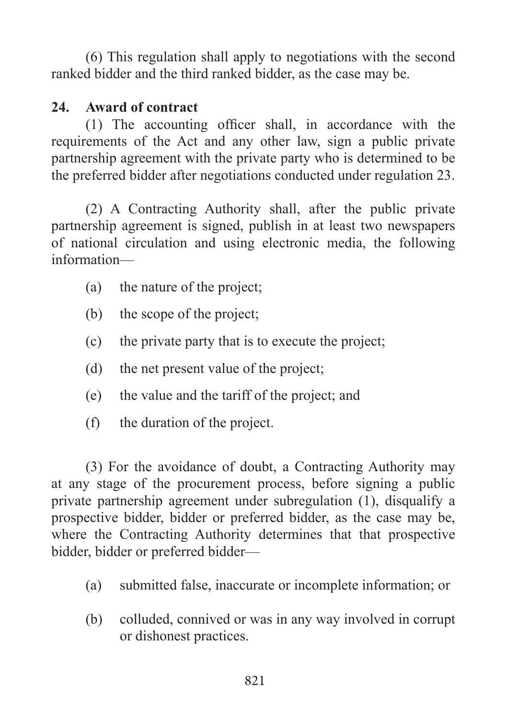(6) This regulation shall apply to negotiations with the second ranked bidder and the third ranked bidder, as the case may be.

## **24. Award of contract**

 (1) The accounting officer shall, in accordance with the requirements of the Act and any other law, sign a public private partnership agreement with the private party who is determined to be the preferred bidder after negotiations conducted under regulation 23.

 (2) A Contracting Authority shall, after the public private partnership agreement is signed, publish in at least two newspapers of national circulation and using electronic media, the following information—

- (a) the nature of the project;
- (b) the scope of the project;
- (c) the private party that is to execute the project;
- (d) the net present value of the project;
- (e) the value and the tariff of the project; and
- (f) the duration of the project.

 (3) For the avoidance of doubt, a Contracting Authority may at any stage of the procurement process, before signing a public private partnership agreement under subregulation (1), disqualify a prospective bidder, bidder or preferred bidder, as the case may be, where the Contracting Authority determines that that prospective bidder, bidder or preferred bidder—

- (a) submitted false, inaccurate or incomplete information; or
- (b) colluded, connived or was in any way involved in corrupt or dishonest practices.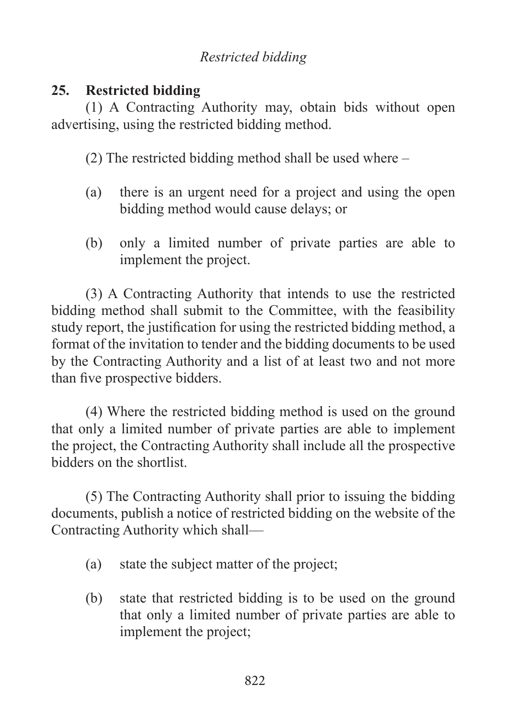# *Restricted bidding*

## **25. Restricted bidding**

 (1) A Contracting Authority may, obtain bids without open advertising, using the restricted bidding method.

 (2) The restricted bidding method shall be used where –

- (a) there is an urgent need for a project and using the open bidding method would cause delays; or
- (b) only a limited number of private parties are able to implement the project.

 (3) A Contracting Authority that intends to use the restricted bidding method shall submit to the Committee, with the feasibility study report, the justification for using the restricted bidding method, a format of the invitation to tender and the bidding documents to be used by the Contracting Authority and a list of at least two and not more than five prospective bidders.

 (4) Where the restricted bidding method is used on the ground that only a limited number of private parties are able to implement the project, the Contracting Authority shall include all the prospective bidders on the shortlist.

 (5) The Contracting Authority shall prior to issuing the bidding documents, publish a notice of restricted bidding on the website of the Contracting Authority which shall—

- (a) state the subject matter of the project;
- (b) state that restricted bidding is to be used on the ground that only a limited number of private parties are able to implement the project;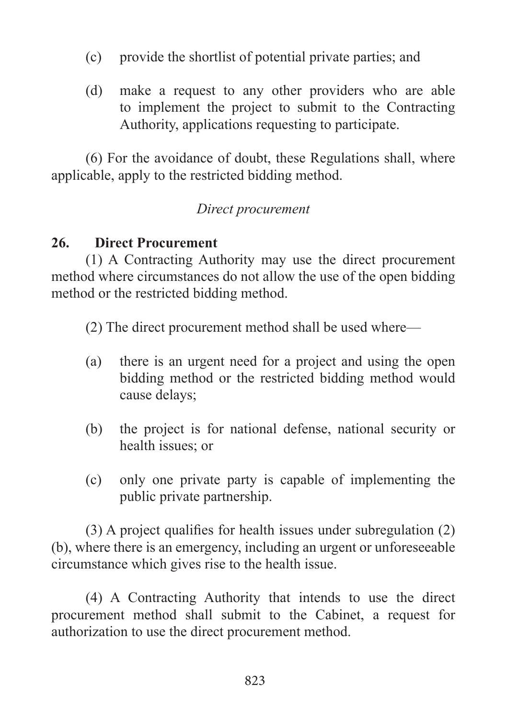- (c) provide the shortlist of potential private parties; and
- (d) make a request to any other providers who are able to implement the project to submit to the Contracting Authority, applications requesting to participate.

 (6) For the avoidance of doubt, these Regulations shall, where applicable, apply to the restricted bidding method.

## *Direct procurement*

## **26. Direct Procurement**

 (1) A Contracting Authority may use the direct procurement method where circumstances do not allow the use of the open bidding method or the restricted bidding method.

 (2) The direct procurement method shall be used where—

- (a) there is an urgent need for a project and using the open bidding method or the restricted bidding method would cause delays;
- (b) the project is for national defense, national security or health issues; or
- (c) only one private party is capable of implementing the public private partnership.

 (3) A project qualifies for health issues under subregulation (2) (b), where there is an emergency, including an urgent or unforeseeable circumstance which gives rise to the health issue.

 (4) A Contracting Authority that intends to use the direct procurement method shall submit to the Cabinet, a request for authorization to use the direct procurement method.